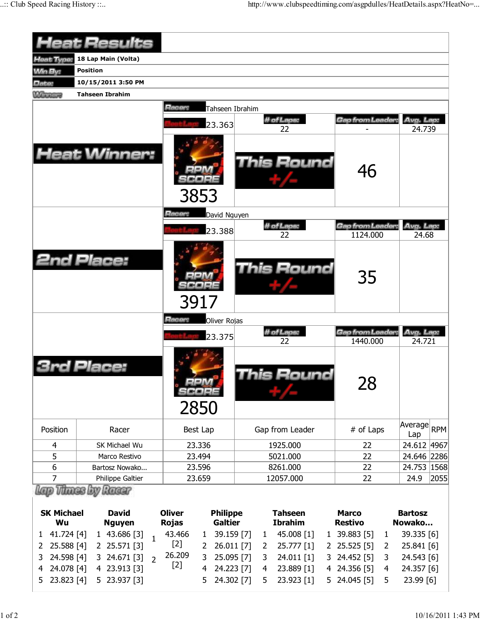|                                            | <b>Heat Results</b>                                               |                                                                                                            |                                                                                |                                                   |                                        |
|--------------------------------------------|-------------------------------------------------------------------|------------------------------------------------------------------------------------------------------------|--------------------------------------------------------------------------------|---------------------------------------------------|----------------------------------------|
| <b>Heat Type:</b>                          | 18 Lap Main (Volta)                                               |                                                                                                            |                                                                                |                                                   |                                        |
| <b>Min By:</b>                             | <b>Position</b>                                                   |                                                                                                            |                                                                                |                                                   |                                        |
| Date:                                      | 10/15/2011 3:50 PM                                                |                                                                                                            |                                                                                |                                                   |                                        |
| <b>Winners</b>                             | <b>Tahseen Ibrahim</b>                                            |                                                                                                            |                                                                                |                                                   |                                        |
|                                            |                                                                   | Racer:<br>Tahseen Ibrahim                                                                                  |                                                                                |                                                   |                                        |
|                                            |                                                                   | 23.363                                                                                                     | # of Laps:                                                                     | Gap from Leader:                                  | Avg. Lap:                              |
|                                            |                                                                   |                                                                                                            | 22                                                                             |                                                   | 24.739                                 |
|                                            | <b>Heat Winner:</b>                                               | 3853                                                                                                       | <b>This Round</b>                                                              | 46                                                |                                        |
|                                            |                                                                   | Racer:<br>David Nguyen                                                                                     |                                                                                |                                                   |                                        |
|                                            |                                                                   |                                                                                                            | # of Laps:                                                                     | Gap from Leader:                                  | Avg. Lap:                              |
|                                            |                                                                   | 23.388                                                                                                     | 22                                                                             | 1124.000                                          | 24.68                                  |
|                                            | <b>2nd Place:</b>                                                 | 3917                                                                                                       | <b>This Round</b>                                                              | 35                                                |                                        |
|                                            |                                                                   | Racer:<br>Oliver Rojas                                                                                     |                                                                                |                                                   |                                        |
|                                            |                                                                   | 23.375                                                                                                     | # of Laps:<br>22                                                               | Gap from Leader:<br>1440.000                      | Avg. Lap:<br>24.721                    |
|                                            | Place:                                                            | 72222<br>2850                                                                                              | his Round                                                                      | 28                                                |                                        |
| Position                                   | Racer                                                             | Best Lap                                                                                                   | Gap from Leader                                                                | # of Laps                                         | Average<br><b>RPM</b><br>Lap           |
| 4                                          | SK Michael Wu                                                     | 23.336                                                                                                     | 1925.000                                                                       | 22                                                | 24.612 4967                            |
| 5                                          | Marco Restivo                                                     | 23.494                                                                                                     | 5021.000                                                                       | 22                                                | 24.646 2286                            |
| 6                                          | Bartosz Nowako                                                    | 23.596                                                                                                     | 8261.000                                                                       | 22                                                | 24.753   1568                          |
| 7                                          | Philippe Galtier                                                  | 23.659                                                                                                     | 12057.000                                                                      | 22                                                | 2055<br>24.9                           |
| <b>SK Michael</b><br>Wu<br>41.724 [4]<br>1 | Vitings by Raggy<br><b>David</b><br><b>Nguyen</b><br>1 43.686 [3] | <b>Oliver</b><br><b>Philippe</b><br><b>Galtier</b><br><b>Rojas</b><br>43.466<br>39.159 [7]<br>$\mathbf{1}$ | <b>Tahseen</b><br><b>Ibrahim</b><br>45.008 [1]<br>$\mathbf{1}$<br>$\mathbf{1}$ | <b>Marco</b><br><b>Restivo</b><br>39.883 [5]<br>1 | <b>Bartosz</b><br>Nowako<br>39.335 [6] |

2 25.841 [6] 3 24.543 [6] 4 24.357 [6] 5 23.99 [6]

2 25.588 [4] 2 25.571 [3]

4 24.078 [4] 4 23.913 [3] 5 23.823 [4] 5 23.937 [3]

3 24.671 [3] 2

[2] 26.209 [2]

2 26.011 [7] 3 25.095 [7] 4 24.223 [7] 5 24.302 [7]

2 25.777 [1] 2 25.525 [5]

3 24.452 [5] 4 24.356 [5] 5 24.045 [5]

3 24.011 [1] 4 23.889 [1] 5 23.923 [1]

3 24.598 [4]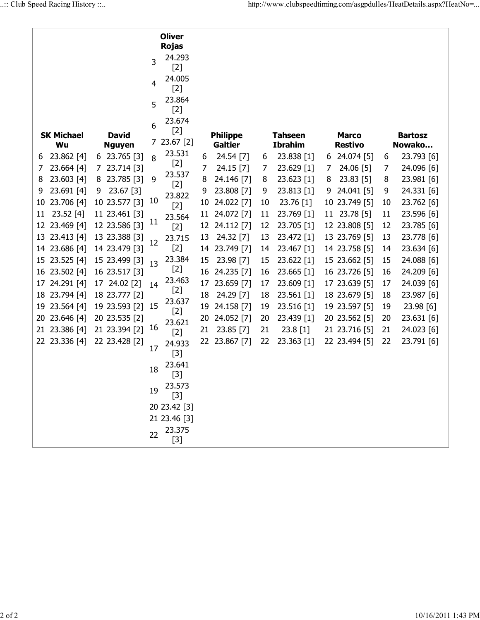|          |                          |                                |    | <b>Oliver</b><br><b>Rojas</b> |          |                                   |          |                                  |   |                                |          |                          |
|----------|--------------------------|--------------------------------|----|-------------------------------|----------|-----------------------------------|----------|----------------------------------|---|--------------------------------|----------|--------------------------|
|          |                          |                                | 3  | 24.293                        |          |                                   |          |                                  |   |                                |          |                          |
|          |                          |                                | 4  | $[2]$<br>24.005               |          |                                   |          |                                  |   |                                |          |                          |
|          |                          |                                |    | $[2]$<br>23.864               |          |                                   |          |                                  |   |                                |          |                          |
|          |                          |                                | 5  | $[2]$                         |          |                                   |          |                                  |   |                                |          |                          |
|          |                          |                                | 6  | 23.674<br>$[2]$               |          |                                   |          |                                  |   |                                |          |                          |
|          | <b>SK Michael</b><br>Wu  | <b>David</b><br><b>Nguyen</b>  | 7  | 23.67 [2]                     |          | <b>Philippe</b><br><b>Galtier</b> |          | <b>Tahseen</b><br><b>Ibrahim</b> |   | <b>Marco</b><br><b>Restivo</b> |          | <b>Bartosz</b><br>Nowako |
| 6        | 23.862 [4]               | 6 23.765 [3]                   | 8  | 23.531                        | 6        | 24.54 [7]                         | 6        | 23.838 [1]                       | 6 | 24.074 [5]                     | 6        | 23.793 [6]               |
| 7        | 23.664 [4]               | 23.714 [3]<br>7.               |    | $[2]$                         | 7        | 24.15 [7]                         | 7        | 23.629 [1]                       | 7 | 24.06 [5]                      | 7        | 24.096 [6]               |
| 8        | 23.603 [4]               | 23.785 [3]<br>8                | 9  | 23.537                        | 8        | 24.146 [7]                        | 8        | 23.623 [1]                       | 8 | $23.83$ [5]                    | 8        | 23.981 [6]               |
| 9        | 23.691 [4]               | 23.67 [3]<br>9                 |    | $[2]$<br>23.822               | 9        | 23.808 [7]                        | 9        | 23.813 [1]                       | 9 | 24.041 [5]                     | 9        | 24.331 [6]               |
| 10       | 23.706 [4]               | 10 23.577 [3]                  | 10 | $[2]$                         | 10       | 24.022 [7]                        | 10       | 23.76 [1]                        |   | 10 23.749 [5]                  | 10       | 23.762 [6]               |
| 11       | 23.52 [4]                | 11 23.461 [3]                  |    | 23.564                        | 11       | 24.072 [7]                        | 11       | 23.769 [1]                       |   | 11 23.78 [5]                   | 11       | 23.596 [6]               |
| 12       | 23.469 [4]               | 12 23.586 [3]                  | 11 | $[2]$                         | 12       | 24.112 [7]                        | 12       | 23.705 [1]                       |   | 12 23.808 [5]                  | 12       | 23.785 [6]               |
| 13       | 23.413 [4]               | 13 23.388 [3]                  | 12 | 23.715                        | 13       | 24.32 [7]                         | 13       | 23.472 [1]                       |   | 13 23.769 [5]                  | 13       | 23.778 [6]               |
| 14       | 23.686 [4]               | 14 23.479 [3]                  |    | $[2]$                         | 14       | 23.749 [7]                        | 14       | 23.467 [1]                       |   | 14 23.758 [5]                  | 14       | 23.634 [6]               |
| 15       | 23.525 [4]               | 15 23.499 [3]                  | 13 | 23.384                        | 15       | 23.98 [7]                         | 15       | 23.622 [1]                       |   | 15 23.662 [5]                  | 15       | 24.088 [6]               |
| 16       | 23.502 [4]               | 16 23.517 [3]                  |    | $[2]$<br>23.463               | 16       | 24.235 [7]                        | 16       | 23.665 [1]                       |   | 16 23.726 [5]                  | 16       | 24.209 [6]               |
| 17       | 24.291 [4]               | 17 24.02 [2]                   | 14 | $[2]$                         | 17       | 23.659 [7]                        | 17       | 23.609 [1]                       |   | 17 23.639 [5]                  | 17       | 24.039 [6]               |
| 18       | 23.794 [4]               | 18 23.777 [2]                  | 15 | 23.637                        | 18       | 24.29 [7]                         | 18       | 23.561 [1]                       |   | 18 23.679 [5]                  | 18       | 23.987 [6]               |
| 19<br>20 | 23.564 [4]<br>23.646 [4] | 19 23.593 [2]<br>20 23.535 [2] |    | $[2]$                         | 19<br>20 | 24.158 [7]<br>24.052 [7]          | 19<br>20 | 23.516 [1]<br>23.439 [1]         |   | 19 23.597 [5]<br>20 23.562 [5] | 19<br>20 | 23.98 [6]<br>23.631 [6]  |
| 21       | 23.386 [4]               | 21 23.394 [2]                  | 16 | 23.621                        | 21       | 23.85 [7]                         | 21       | 23.8 [1]                         |   | 21 23.716 [5]                  | 21       | 24.023 [6]               |
|          | 22 23.336 [4]            | 22 23.428 [2]                  |    | $[2]$                         | 22       | 23.867 [7]                        | 22       | 23.363 [1]                       |   | 22 23.494 [5]                  | 22       | 23.791 [6]               |
|          |                          |                                | 17 | 24.933<br>$[3]$               |          |                                   |          |                                  |   |                                |          |                          |
|          |                          |                                | 18 | 23.641<br>$[3]$               |          |                                   |          |                                  |   |                                |          |                          |
|          |                          |                                | 19 | 23.573<br>$[3]$               |          |                                   |          |                                  |   |                                |          |                          |
|          |                          |                                |    | 20 23.42 [3]                  |          |                                   |          |                                  |   |                                |          |                          |
|          |                          |                                |    | 21 23.46 [3]                  |          |                                   |          |                                  |   |                                |          |                          |
|          |                          |                                | 22 | 23.375                        |          |                                   |          |                                  |   |                                |          |                          |
|          |                          |                                |    | $[3]$                         |          |                                   |          |                                  |   |                                |          |                          |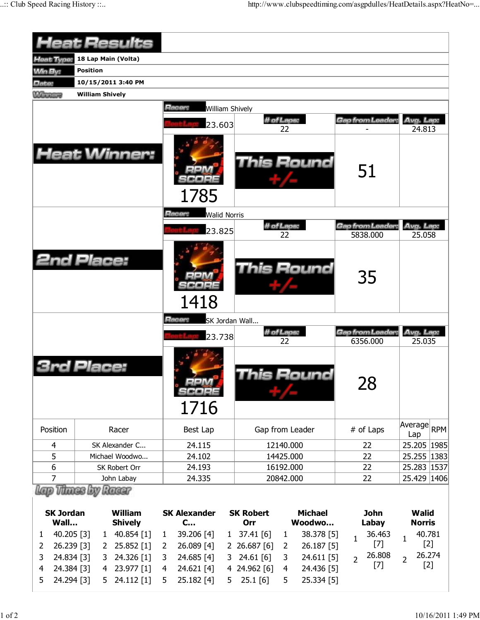|                        |                         | <b>Heat Results</b> |                            |                     |                           |                |                |                |                  |                |             |
|------------------------|-------------------------|---------------------|----------------------------|---------------------|---------------------------|----------------|----------------|----------------|------------------|----------------|-------------|
| <b>Heat Type:</b>      | 18 Lap Main (Volta)     |                     |                            |                     |                           |                |                |                |                  |                |             |
| <b>Win By:</b>         | <b>Position</b>         |                     |                            |                     |                           |                |                |                |                  |                |             |
| Date:                  | 10/15/2011 3:40 PM      |                     |                            |                     |                           |                |                |                |                  |                |             |
| <b>Winners</b>         | <b>William Shively</b>  |                     |                            |                     |                           |                |                |                |                  |                |             |
|                        |                         |                     | Racer:                     | William Shively     |                           |                |                |                |                  |                |             |
|                        |                         |                     |                            |                     |                           | # of Laps:     |                |                | Gap from Leader. | Avg. Lap:      |             |
|                        |                         |                     |                            | 23.603              |                           | 22             |                |                |                  | 24.813         |             |
|                        |                         | <b>Heat Winner:</b> | 1785                       |                     |                           |                | This Round     |                | 51               |                |             |
|                        |                         |                     | Racer:                     | <b>Walid Norris</b> |                           |                |                |                |                  |                |             |
|                        |                         |                     |                            |                     |                           | # of Laps:     |                |                | Gap from Leader: | Avg. Lap:      |             |
|                        |                         |                     |                            | 23.825              |                           | 22             |                |                | 5838.000         | 25.058         |             |
| <b>2nd Place:</b>      |                         |                     | 1418                       |                     |                           |                | This Round     |                | 35               |                |             |
|                        |                         |                     | Racer:                     |                     | SK Jordan Wall            |                |                |                |                  |                |             |
|                        |                         |                     |                            | 23.738              |                           | # of Laps:     |                |                | Gap from Leader: | Avg. Lap:      |             |
|                        | Place:                  |                     | 300000<br>1716             |                     |                           | 22             | his Round      |                | 6356.000<br>28   | 25.035         |             |
| Position               |                         | Racer               | Best Lap                   |                     | Gap from Leader           |                |                |                | # of Laps        | Average<br>Lap | <b>RPM</b>  |
| 4                      |                         | SK Alexander C      | 24.115                     |                     |                           | 12140.000      |                |                | 22               |                | 25.205 1985 |
| 5                      |                         | Michael Woodwo      | 24.102                     |                     |                           | 14425.000      |                |                | 22               |                | 25.255 1383 |
| 6                      |                         | SK Robert Orr       | 16192.000<br>24.193        |                     |                           |                |                |                | 22               |                | 25.283 1537 |
| 7<br>John Labay        |                         |                     | 24.335                     | 20842.000           |                           |                | 22             |                |                  |                | 25.429 1406 |
| <b>SK Jordan</b>       | <b>Vitines by Racer</b> | <b>William</b>      | <b>SK Alexander</b>        |                     | <b>SK Robert</b>          |                | <b>Michael</b> |                | <b>John</b>      | <b>Walid</b>   |             |
| Wall<br><b>Shively</b> |                         | C                   |                            | Orr                 |                           | Woodwo         |                | Labay          | <b>Norris</b>    |                |             |
| 40.205 [3]<br>1        | $\mathbf{1}$            | 40.854 [1]          | 39.206 [4]<br>$\mathbf{1}$ |                     | $1 \quad 37.41 \quad [6]$ | $\mathbf{1}$   | 38.378 [5]     | $\mathbf{1}$   | 36.463           | $\mathbf{1}$   | 40.781      |
| 26.239 [3]<br>2        | 2                       | 25.852 [1]          | 26.089 [4]<br>2            | 2 <sup>2</sup>      | 26.687 [6]                | $\overline{2}$ | 26.187 [5]     |                | $[7]$            |                | $[2]$       |
| 3<br>24.834 [3]        | 3                       | 24.326 [1]          | 24.685 [4]<br>3            | 3                   | 24.61 [6]                 | 3              | 24.611 [5]     | $\overline{2}$ | 26.808           | $\overline{2}$ | 26.274      |
| 24.384 [3]<br>4        | 4                       | 23.977 [1]          | 24.621 [4]<br>4            |                     | 4 24.962 [6]              | 4              | 24.436 [5]     |                | $[7]$            |                | $[2]$       |

5 24.294 [3] 5 24.112 [1] 5 25.182 [4] 5 25.1 [6] 5 25.334 [5]